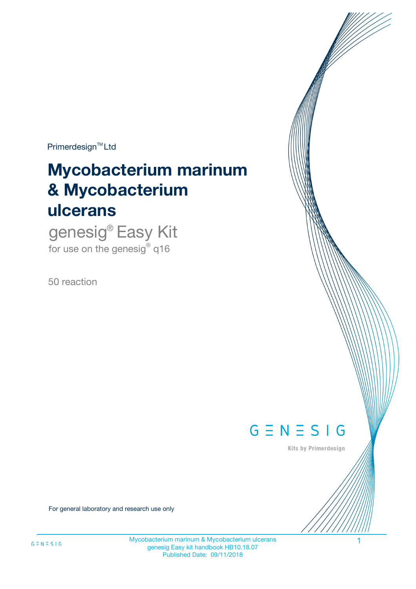$Primerdesign^{\text{TM}}Ltd$ 

# **Mycobacterium marinum & Mycobacterium ulcerans**

genesig® Easy Kit for use on the genesig® q16

50 reaction



Kits by Primerdesign

For general laboratory and research use only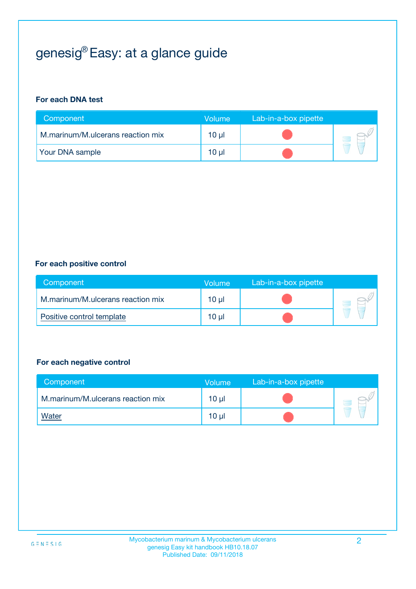# genesig® Easy: at a glance guide

#### **For each DNA test**

| Component                         | Volume   | Lab-in-a-box pipette |  |
|-----------------------------------|----------|----------------------|--|
| M.marinum/M.ulcerans reaction mix | $10 \mu$ |                      |  |
| <b>Your DNA sample</b>            | 10 µl    |                      |  |

#### **For each positive control**

| Component                         | Volume   | Lab-in-a-box pipette |  |
|-----------------------------------|----------|----------------------|--|
| M.marinum/M.ulcerans reaction mix | $10 \mu$ |                      |  |
| Positive control template         | 10 µl    |                      |  |

#### **For each negative control**

| Component                         | Volume          | Lab-in-a-box pipette |  |
|-----------------------------------|-----------------|----------------------|--|
| M.marinum/M.ulcerans reaction mix | 10 <sub>µ</sub> |                      |  |
| <u>Water</u>                      | 10 <sub>µ</sub> |                      |  |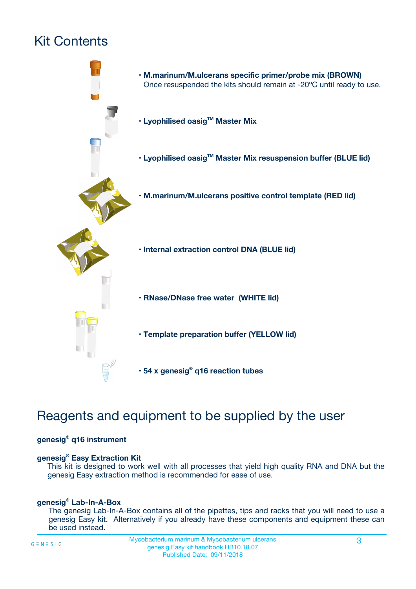# Kit Contents



# Reagents and equipment to be supplied by the user

#### **genesig® q16 instrument**

#### **genesig® Easy Extraction Kit**

This kit is designed to work well with all processes that yield high quality RNA and DNA but the genesig Easy extraction method is recommended for ease of use.

#### **genesig® Lab-In-A-Box**

The genesig Lab-In-A-Box contains all of the pipettes, tips and racks that you will need to use a genesig Easy kit. Alternatively if you already have these components and equipment these can be used instead.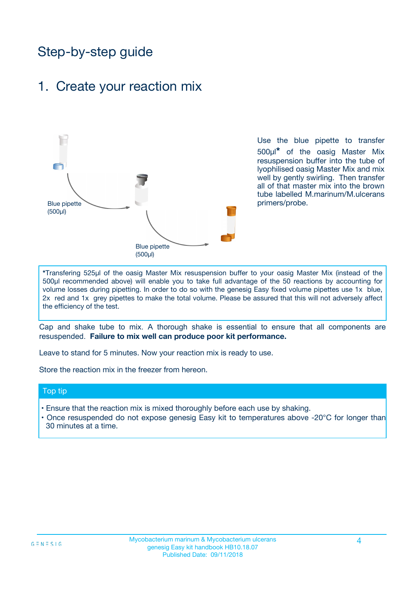# Step-by-step guide

### 1. Create your reaction mix



Use the blue pipette to transfer 500µl**\*** of the oasig Master Mix resuspension buffer into the tube of lyophilised oasig Master Mix and mix well by gently swirling. Then transfer all of that master mix into the brown tube labelled M.marinum/M.ulcerans primers/probe.

**\***Transfering 525µl of the oasig Master Mix resuspension buffer to your oasig Master Mix (instead of the 500µl recommended above) will enable you to take full advantage of the 50 reactions by accounting for volume losses during pipetting. In order to do so with the genesig Easy fixed volume pipettes use 1x blue, 2x red and 1x grey pipettes to make the total volume. Please be assured that this will not adversely affect the efficiency of the test.

Cap and shake tube to mix. A thorough shake is essential to ensure that all components are resuspended. **Failure to mix well can produce poor kit performance.**

Leave to stand for 5 minutes. Now your reaction mix is ready to use.

Store the reaction mix in the freezer from hereon.

#### Top tip

- Ensure that the reaction mix is mixed thoroughly before each use by shaking.
- **•** Once resuspended do not expose genesig Easy kit to temperatures above -20°C for longer than 30 minutes at a time.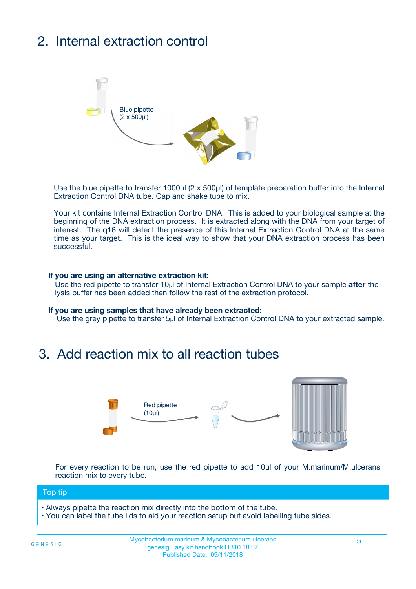# 2. Internal extraction control



Use the blue pipette to transfer 1000µl (2 x 500µl) of template preparation buffer into the Internal Extraction Control DNA tube. Cap and shake tube to mix.

Your kit contains Internal Extraction Control DNA. This is added to your biological sample at the beginning of the DNA extraction process. It is extracted along with the DNA from your target of interest. The q16 will detect the presence of this Internal Extraction Control DNA at the same time as your target. This is the ideal way to show that your DNA extraction process has been successful.

#### **If you are using an alternative extraction kit:**

Use the red pipette to transfer 10µl of Internal Extraction Control DNA to your sample **after** the lysis buffer has been added then follow the rest of the extraction protocol.

#### **If you are using samples that have already been extracted:**

Use the grey pipette to transfer 5µl of Internal Extraction Control DNA to your extracted sample.

### 3. Add reaction mix to all reaction tubes



For every reaction to be run, use the red pipette to add 10µl of your M.marinum/M.ulcerans reaction mix to every tube.

#### Top tip

- Always pipette the reaction mix directly into the bottom of the tube.
- You can label the tube lids to aid your reaction setup but avoid labelling tube sides.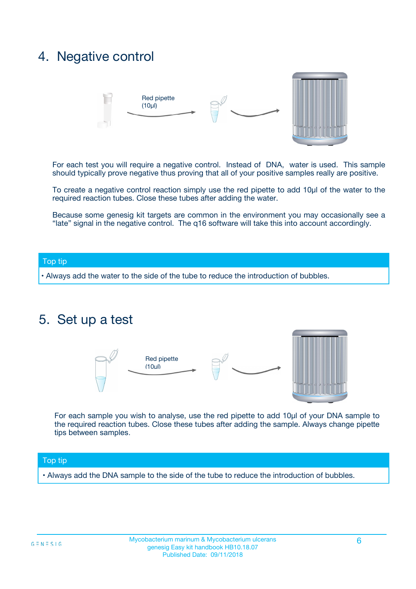## 4. Negative control



For each test you will require a negative control. Instead of DNA, water is used. This sample should typically prove negative thus proving that all of your positive samples really are positive.

To create a negative control reaction simply use the red pipette to add 10µl of the water to the required reaction tubes. Close these tubes after adding the water.

Because some genesig kit targets are common in the environment you may occasionally see a "late" signal in the negative control. The q16 software will take this into account accordingly.

#### Top tip

**•** Always add the water to the side of the tube to reduce the introduction of bubbles.

### 5. Set up a test



For each sample you wish to analyse, use the red pipette to add 10µl of your DNA sample to the required reaction tubes. Close these tubes after adding the sample. Always change pipette tips between samples.

#### Top tip

**•** Always add the DNA sample to the side of the tube to reduce the introduction of bubbles.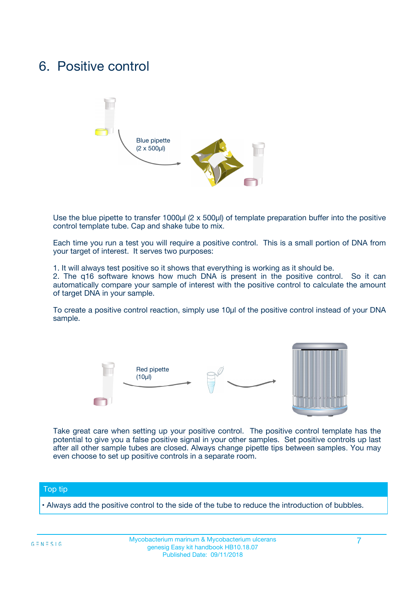## 6. Positive control



Use the blue pipette to transfer 1000µl (2 x 500µl) of template preparation buffer into the positive control template tube. Cap and shake tube to mix.

Each time you run a test you will require a positive control. This is a small portion of DNA from your target of interest. It serves two purposes:

1. It will always test positive so it shows that everything is working as it should be.

2. The q16 software knows how much DNA is present in the positive control. So it can automatically compare your sample of interest with the positive control to calculate the amount of target DNA in your sample.

To create a positive control reaction, simply use 10µl of the positive control instead of your DNA sample.



Take great care when setting up your positive control. The positive control template has the potential to give you a false positive signal in your other samples. Set positive controls up last after all other sample tubes are closed. Always change pipette tips between samples. You may even choose to set up positive controls in a separate room.

#### Top tip

**•** Always add the positive control to the side of the tube to reduce the introduction of bubbles.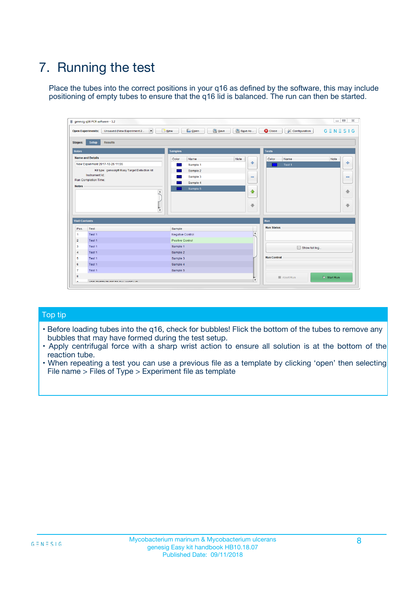# 7. Running the test

Place the tubes into the correct positions in your q16 as defined by the software, this may include positioning of empty tubes to ensure that the q16 lid is balanced. The run can then be started.

|                      | genesig q16 PCR software - 1.2                                               |                                |                              |                                          | $\begin{array}{c c c c} \hline \multicolumn{3}{c }{\textbf{0}} & \multicolumn{3}{c }{\textbf{0}} \end{array}$<br>$\Sigma\!3$ |
|----------------------|------------------------------------------------------------------------------|--------------------------------|------------------------------|------------------------------------------|------------------------------------------------------------------------------------------------------------------------------|
|                      | $\vert \cdot \vert$<br><b>Open Experiments:</b><br>Unsaved (New Experiment 2 | Open<br>Save<br>$\sqrt{9}$ New | Save As                      | <b>C</b> Close<br><b>X</b> Configuration | $G \equiv N \equiv S \mid G$                                                                                                 |
| <b>Stages:</b>       | Setup<br><b>Results</b>                                                      |                                |                              |                                          |                                                                                                                              |
| <b>Notes</b>         |                                                                              | <b>Samples</b>                 |                              | <b>Tests</b>                             |                                                                                                                              |
|                      | <b>Name and Details</b>                                                      | Color<br>Name                  | Note                         | Color<br>Name                            | Note                                                                                                                         |
|                      | New Experiment 2017-10-26 11:06                                              | Sample 1                       | ÷                            | Test 1                                   | ÷                                                                                                                            |
|                      | Kit type: genesig® Easy Target Detection kit                                 | Sample 2                       |                              |                                          |                                                                                                                              |
|                      | Instrument Id.:                                                              | Sample 3                       | $\qquad \qquad \blacksquare$ |                                          | $\qquad \qquad \blacksquare$                                                                                                 |
|                      | <b>Run Completion Time:</b>                                                  | Sample 4                       |                              |                                          |                                                                                                                              |
| <b>Notes</b>         | <b>A</b><br>v                                                                | Sample 5                       | $\triangle$<br>$\oplus$      |                                          | 4<br>₩                                                                                                                       |
| <b>Well Contents</b> |                                                                              |                                |                              | Run                                      |                                                                                                                              |
| Pos.                 | Test                                                                         | Sample                         |                              | <b>Run Status</b>                        |                                                                                                                              |
| $\overline{1}$       | Test 1                                                                       | <b>Negative Control</b>        | $\blacktriangle$             |                                          |                                                                                                                              |
| $\overline{2}$       | Test 1                                                                       | <b>Positive Control</b>        |                              |                                          |                                                                                                                              |
| 3                    | Test 1                                                                       | Sample 1                       |                              | Show full log                            |                                                                                                                              |
| $\overline{4}$       | Test 1                                                                       | Sample 2                       |                              |                                          |                                                                                                                              |
| 5                    | Test 1                                                                       | Sample 3                       |                              | <b>Run Control</b>                       |                                                                                                                              |
| 6                    | Test 1                                                                       | Sample 4                       |                              |                                          |                                                                                                                              |
| $\overline{7}$       | Test 1                                                                       | Sample 5                       |                              |                                          |                                                                                                                              |
| -8                   |                                                                              |                                |                              | Abort Run                                | $\triangleright$ Start Run                                                                                                   |
|                      | <b>JOB FURTY TURE TO BULLMAR LIB</b>                                         |                                | $\overline{\mathbf{v}}$      |                                          |                                                                                                                              |

#### Top tip

- Before loading tubes into the q16, check for bubbles! Flick the bottom of the tubes to remove any bubbles that may have formed during the test setup.
- Apply centrifugal force with a sharp wrist action to ensure all solution is at the bottom of the reaction tube.
- When repeating a test you can use a previous file as a template by clicking 'open' then selecting File name > Files of Type > Experiment file as template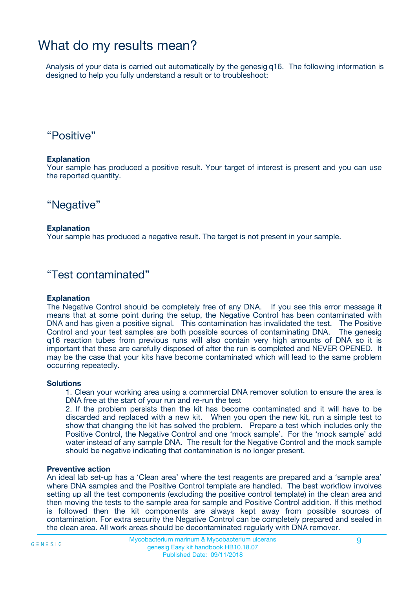## What do my results mean?

Analysis of your data is carried out automatically by the genesig q16. The following information is designed to help you fully understand a result or to troubleshoot:

### "Positive"

#### **Explanation**

Your sample has produced a positive result. Your target of interest is present and you can use the reported quantity.

"Negative"

#### **Explanation**

Your sample has produced a negative result. The target is not present in your sample.

### "Test contaminated"

#### **Explanation**

The Negative Control should be completely free of any DNA. If you see this error message it means that at some point during the setup, the Negative Control has been contaminated with DNA and has given a positive signal. This contamination has invalidated the test. The Positive Control and your test samples are both possible sources of contaminating DNA. The genesig q16 reaction tubes from previous runs will also contain very high amounts of DNA so it is important that these are carefully disposed of after the run is completed and NEVER OPENED. It may be the case that your kits have become contaminated which will lead to the same problem occurring repeatedly.

#### **Solutions**

1. Clean your working area using a commercial DNA remover solution to ensure the area is DNA free at the start of your run and re-run the test

2. If the problem persists then the kit has become contaminated and it will have to be discarded and replaced with a new kit. When you open the new kit, run a simple test to show that changing the kit has solved the problem. Prepare a test which includes only the Positive Control, the Negative Control and one 'mock sample'. For the 'mock sample' add water instead of any sample DNA. The result for the Negative Control and the mock sample should be negative indicating that contamination is no longer present.

#### **Preventive action**

An ideal lab set-up has a 'Clean area' where the test reagents are prepared and a 'sample area' where DNA samples and the Positive Control template are handled. The best workflow involves setting up all the test components (excluding the positive control template) in the clean area and then moving the tests to the sample area for sample and Positive Control addition. If this method is followed then the kit components are always kept away from possible sources of contamination. For extra security the Negative Control can be completely prepared and sealed in the clean area. All work areas should be decontaminated regularly with DNA remover.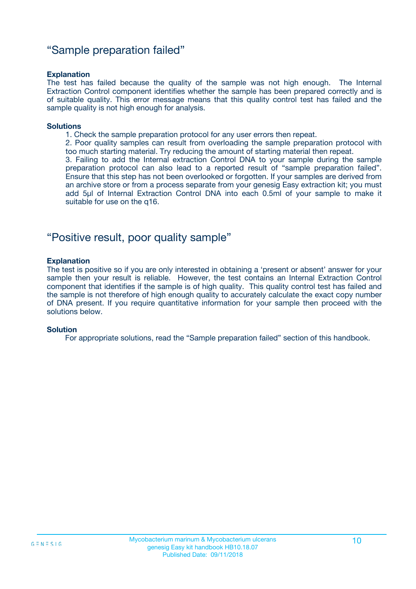### "Sample preparation failed"

#### **Explanation**

The test has failed because the quality of the sample was not high enough. The Internal Extraction Control component identifies whether the sample has been prepared correctly and is of suitable quality. This error message means that this quality control test has failed and the sample quality is not high enough for analysis.

#### **Solutions**

- 1. Check the sample preparation protocol for any user errors then repeat.
- 2. Poor quality samples can result from overloading the sample preparation protocol with too much starting material. Try reducing the amount of starting material then repeat.

3. Failing to add the Internal extraction Control DNA to your sample during the sample preparation protocol can also lead to a reported result of "sample preparation failed". Ensure that this step has not been overlooked or forgotten. If your samples are derived from an archive store or from a process separate from your genesig Easy extraction kit; you must add 5µl of Internal Extraction Control DNA into each 0.5ml of your sample to make it suitable for use on the q16.

### "Positive result, poor quality sample"

#### **Explanation**

The test is positive so if you are only interested in obtaining a 'present or absent' answer for your sample then your result is reliable. However, the test contains an Internal Extraction Control component that identifies if the sample is of high quality. This quality control test has failed and the sample is not therefore of high enough quality to accurately calculate the exact copy number of DNA present. If you require quantitative information for your sample then proceed with the solutions below.

#### **Solution**

For appropriate solutions, read the "Sample preparation failed" section of this handbook.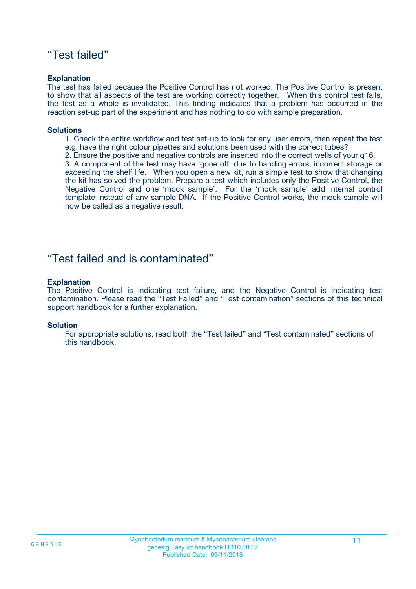### "Test failed"

#### **Explanation**

The test has failed because the Positive Control has not worked. The Positive Control is present to show that all aspects of the test are working correctly together. When this control test fails, the test as a whole is invalidated. This finding indicates that a problem has occurred in the reaction set-up part of the experiment and has nothing to do with sample preparation.

#### **Solutions**

- 1. Check the entire workflow and test set-up to look for any user errors, then repeat the test e.g. have the right colour pipettes and solutions been used with the correct tubes?
- 2. Ensure the positive and negative controls are inserted into the correct wells of your q16.

3. A component of the test may have 'gone off' due to handing errors, incorrect storage or exceeding the shelf life. When you open a new kit, run a simple test to show that changing the kit has solved the problem. Prepare a test which includes only the Positive Control, the Negative Control and one 'mock sample'. For the 'mock sample' add internal control template instead of any sample DNA. If the Positive Control works, the mock sample will now be called as a negative result.

### "Test failed and is contaminated"

#### **Explanation**

The Positive Control is indicating test failure, and the Negative Control is indicating test contamination. Please read the "Test Failed" and "Test contamination" sections of this technical support handbook for a further explanation.

#### **Solution**

For appropriate solutions, read both the "Test failed" and "Test contaminated" sections of this handbook.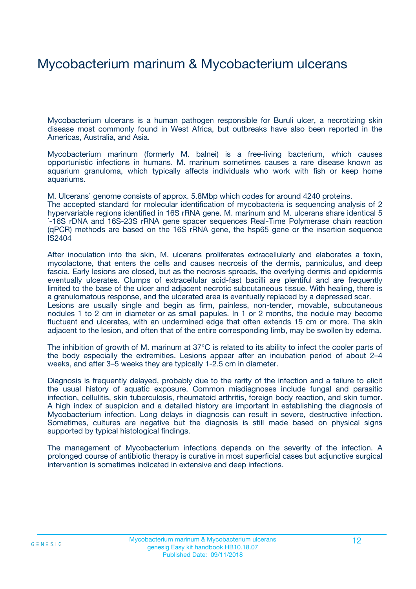## Mycobacterium marinum & Mycobacterium ulcerans

Mycobacterium ulcerans is a human pathogen responsible for Buruli ulcer, a necrotizing skin disease most commonly found in West Africa, but outbreaks have also been reported in the Americas, Australia, and Asia.

Mycobacterium marinum (formerly M. balnei) is a free-living bacterium, which causes opportunistic infections in humans. M. marinum sometimes causes a rare disease known as aquarium granuloma, which typically affects individuals who work with fish or keep home aquariums.

M. Ulcerans' genome consists of approx. 5.8Mbp which codes for around 4240 proteins. The accepted standard for molecular identification of mycobacteria is sequencing analysis of 2 hypervariable regions identified in 16S rRNA gene. M. marinum and M. ulcerans share identical 5 ´-16S rDNA and 16S-23S rRNA gene spacer sequences Real-Time Polymerase chain reaction (qPCR) methods are based on the 16S rRNA gene, the hsp65 gene or the insertion sequence IS2404

After inoculation into the skin, M. ulcerans proliferates extracellularly and elaborates a toxin, mycolactone, that enters the cells and causes necrosis of the dermis, panniculus, and deep fascia. Early lesions are closed, but as the necrosis spreads, the overlying dermis and epidermis eventually ulcerates. Clumps of extracellular acid-fast bacilli are plentiful and are frequently limited to the base of the ulcer and adjacent necrotic subcutaneous tissue. With healing, there is a granulomatous response, and the ulcerated area is eventually replaced by a depressed scar. Lesions are usually single and begin as firm, painless, non-tender, movable, subcutaneous nodules 1 to 2 cm in diameter or as small papules. In 1 or 2 months, the nodule may become fluctuant and ulcerates, with an undermined edge that often extends 15 cm or more. The skin adjacent to the lesion, and often that of the entire corresponding limb, may be swollen by edema.

The inhibition of growth of M. marinum at 37°C is related to its ability to infect the cooler parts of the body especially the extremities. Lesions appear after an incubation period of about 2–4 weeks, and after 3–5 weeks they are typically 1-2.5 cm in diameter.

Diagnosis is frequently delayed, probably due to the rarity of the infection and a failure to elicit the usual history of aquatic exposure. Common misdiagnoses include fungal and parasitic infection, cellulitis, skin tuberculosis, rheumatoid arthritis, foreign body reaction, and skin tumor. A high index of suspicion and a detailed history are important in establishing the diagnosis of Mycobacterium infection. Long delays in diagnosis can result in severe, destructive infection. Sometimes, cultures are negative but the diagnosis is still made based on physical signs supported by typical histological findings.

The management of Mycobacterium infections depends on the severity of the infection. A prolonged course of antibiotic therapy is curative in most superficial cases but adjunctive surgical intervention is sometimes indicated in extensive and deep infections.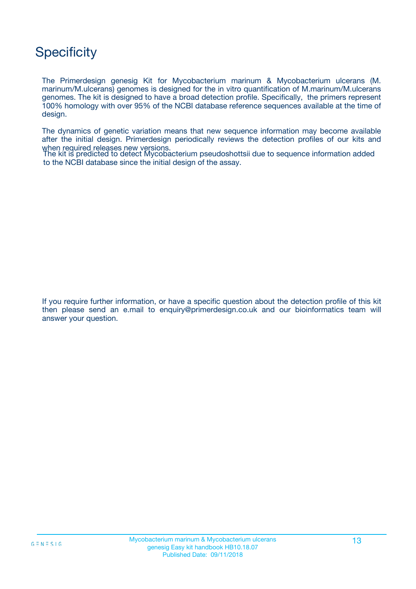# **Specificity**

The Primerdesign genesig Kit for Mycobacterium marinum & Mycobacterium ulcerans (M. marinum/M.ulcerans) genomes is designed for the in vitro quantification of M.marinum/M.ulcerans genomes. The kit is designed to have a broad detection profile. Specifically, the primers represent 100% homology with over 95% of the NCBI database reference sequences available at the time of design.

The dynamics of genetic variation means that new sequence information may become available after the initial design. Primerdesign periodically reviews the detection profiles of our kits and when required releases new versions.

The kit is predicted to detect Mycobacterium pseudoshottsii due to sequence information added to the NCBI database since the initial design of the assay.

If you require further information, or have a specific question about the detection profile of this kit then please send an e.mail to enquiry@primerdesign.co.uk and our bioinformatics team will answer your question.